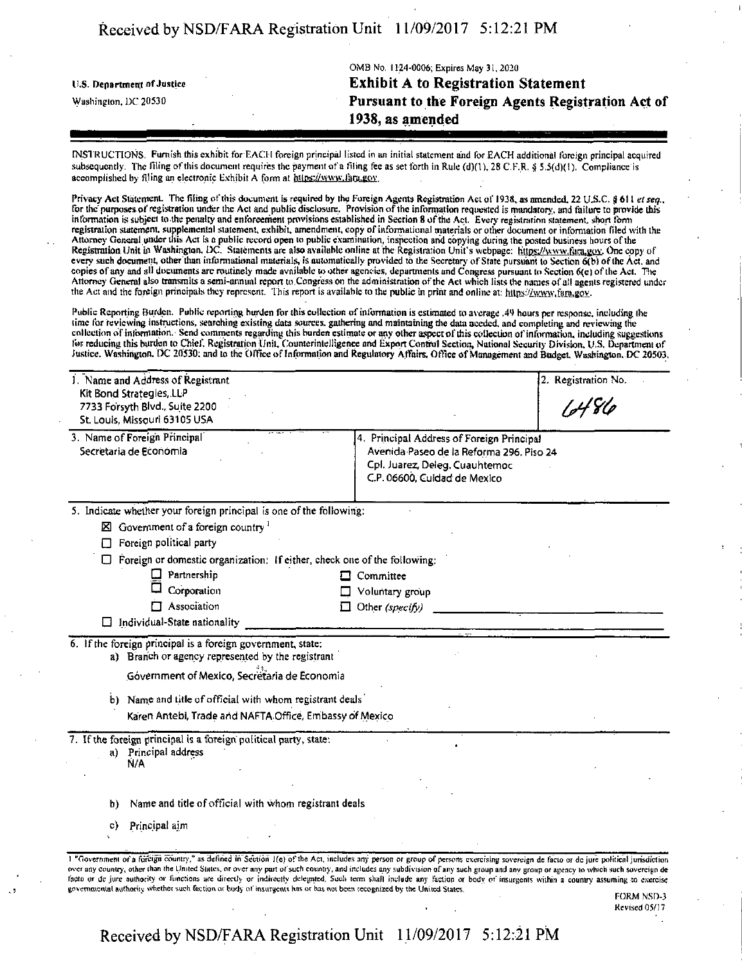## Received by NSD/FARA Registration Unit 11/09/2017 5:12:21 PM

|                            | OMB No. 1124-0006; Expires May 31, 2020            |
|----------------------------|----------------------------------------------------|
| U.S. Department of Justice | <b>Exhibit A to Registration Statement</b>         |
| Washington, DC 20530       | Pursuant to the Foreign Agents Registration Act of |
|                            | 1938, as amended                                   |
|                            |                                                    |

INSTRUCTIONS, Furnish this exhibit for EACH foreign principal listed in un initial statement and for EACH additional foreign principal acquired subsequently. The filing of this document requires the payment of a filing fee as set forth in Rule (d)(1), 28 C.F.R. § 5.5(d)(1). Compliance is accomplished by filing an electronic Exhibit A form at https://www.fara.gov.

Privacy Act Statement. The filing of this document is required by the Foreign Agents Registration Act of 1938, as amended, 22 U.S.C. § 611 et seq., for the purposes of registration under the Act and public disclosure. Provision of the information requested is mandatory, and failure to provide this information is subject to the penalty and enforcement provisions established in Section 8 of the Act. Every registration statement, short form registration statement, supplemental statement, exhibit, amendment, copy of informational materials or other document or information filed with the<br>Attorney General under this Act is a public record open to public examinat Registration Unit in Washington, DC. Statements are also available online at the Registration Unit's webpage: https://www.fara.gov. One copy of every such document, other than informational materials, is automatically provided to the Secretory of State pursuant lo Section 6(b) of the Act, and copies of any and all documents arc routinely made available to other agencies, departments and Congress pursuant to Section 6(c) of the Act. The Attorney General also transmits a semi-annual report to Congress on the administration ofthe Act which lists the names of all agents registered under the Act and the foreign principals they represent. This report is available to the public tn print and online at: hUps://ww\y, fn.ru,gov.

Public Reporting Burden, Public reporting burden for this collection of information is estimated to average .49 hours per response, including Ihe ng the ; Suggestions for reducing this burden to Chief. Registration Unit, Counterintelligence and Export Control Section, National Security Division, U.S. Department of Justice. Washington. DC 20530: and to the Office of Information and Regulatory Affairs. Office of Management and Budget Washington. DC 20503,

| 1. Name and Address of Registrant<br>Kit Bond Strategies, LLP   |                                                                                                                                                                                                                                                                                                                                                                      |                                                                | 2. Registration No.                      |  |  |
|-----------------------------------------------------------------|----------------------------------------------------------------------------------------------------------------------------------------------------------------------------------------------------------------------------------------------------------------------------------------------------------------------------------------------------------------------|----------------------------------------------------------------|------------------------------------------|--|--|
| 7733 Forsyth Blvd., Suite 2200<br>St. Louis, Missouri 63105 USA |                                                                                                                                                                                                                                                                                                                                                                      |                                                                | 10486                                    |  |  |
|                                                                 | 3. Name of Foreign Principal                                                                                                                                                                                                                                                                                                                                         | 4. Principal Address of Foreign Principal                      |                                          |  |  |
|                                                                 | Secretaria de Economia                                                                                                                                                                                                                                                                                                                                               |                                                                | Avenida Paseo de la Reforma 296. Piso 24 |  |  |
|                                                                 |                                                                                                                                                                                                                                                                                                                                                                      | Cpl. Juarez, Deleg. Cuauhtemoc<br>C.P. 06600, Cuidad de Mexico |                                          |  |  |
|                                                                 | 5. Indicate whether your foreign principal is one of the following:                                                                                                                                                                                                                                                                                                  |                                                                |                                          |  |  |
|                                                                 | $\boxtimes$ Government of a foreign country <sup>1</sup>                                                                                                                                                                                                                                                                                                             |                                                                |                                          |  |  |
|                                                                 | Foreign political party                                                                                                                                                                                                                                                                                                                                              |                                                                |                                          |  |  |
|                                                                 | Foreign or domestic organization: If either, check one of the following:                                                                                                                                                                                                                                                                                             |                                                                |                                          |  |  |
|                                                                 | Partnership                                                                                                                                                                                                                                                                                                                                                          | Committee                                                      |                                          |  |  |
|                                                                 | Corporation                                                                                                                                                                                                                                                                                                                                                          | Voluntary group                                                |                                          |  |  |
|                                                                 | Association                                                                                                                                                                                                                                                                                                                                                          | Other (specify)<br>П                                           |                                          |  |  |
|                                                                 | $\Box$ Individual-State nationality                                                                                                                                                                                                                                                                                                                                  |                                                                |                                          |  |  |
|                                                                 | 6. If the foreign principal is a foreign government, state:                                                                                                                                                                                                                                                                                                          |                                                                |                                          |  |  |
|                                                                 | a) Branch or agency represented by the registrant                                                                                                                                                                                                                                                                                                                    |                                                                |                                          |  |  |
|                                                                 | Góvernment of Mexico, Secretaria de Economia                                                                                                                                                                                                                                                                                                                         |                                                                |                                          |  |  |
| b)                                                              | Name and title of official with whom registrant deals                                                                                                                                                                                                                                                                                                                |                                                                |                                          |  |  |
|                                                                 | Karen Antebi, Trade and NAFTA Office, Embassy of Mexico                                                                                                                                                                                                                                                                                                              |                                                                |                                          |  |  |
|                                                                 | 7. If the foreign principal is a foreign political party, state:                                                                                                                                                                                                                                                                                                     |                                                                |                                          |  |  |
|                                                                 | a) Principal address<br>N/A                                                                                                                                                                                                                                                                                                                                          |                                                                |                                          |  |  |
|                                                                 |                                                                                                                                                                                                                                                                                                                                                                      |                                                                |                                          |  |  |
| b)                                                              | Name and title of official with whom registrant deals                                                                                                                                                                                                                                                                                                                |                                                                |                                          |  |  |
| C)                                                              | Principal aim                                                                                                                                                                                                                                                                                                                                                        |                                                                |                                          |  |  |
|                                                                 |                                                                                                                                                                                                                                                                                                                                                                      |                                                                |                                          |  |  |
|                                                                 | 1 "Government of a foreign country," as defined in Section 1(e) of the Act, includes any person or group of persons exercising sovereign de facto or de jure political jurisdiction                                                                                                                                                                                  |                                                                |                                          |  |  |
|                                                                 | over any country, other than the United States, or over any part of such country, and includes any subdivision of any such group and any group or agency to which such sovereign de<br>facto or de jure authority or functions are directly or indirectly delegated. Such term shall include any faction or body of insurgents within a country assuming to exercise |                                                                |                                          |  |  |
|                                                                 | governmental authority whether such faction or body of insurgents has or has not been recognized by the United States.                                                                                                                                                                                                                                               |                                                                |                                          |  |  |

FORM NSD-3 Revised 05/17

## Received by NSD/FARA Registration Unit 11/09/2017 5:12:21 PM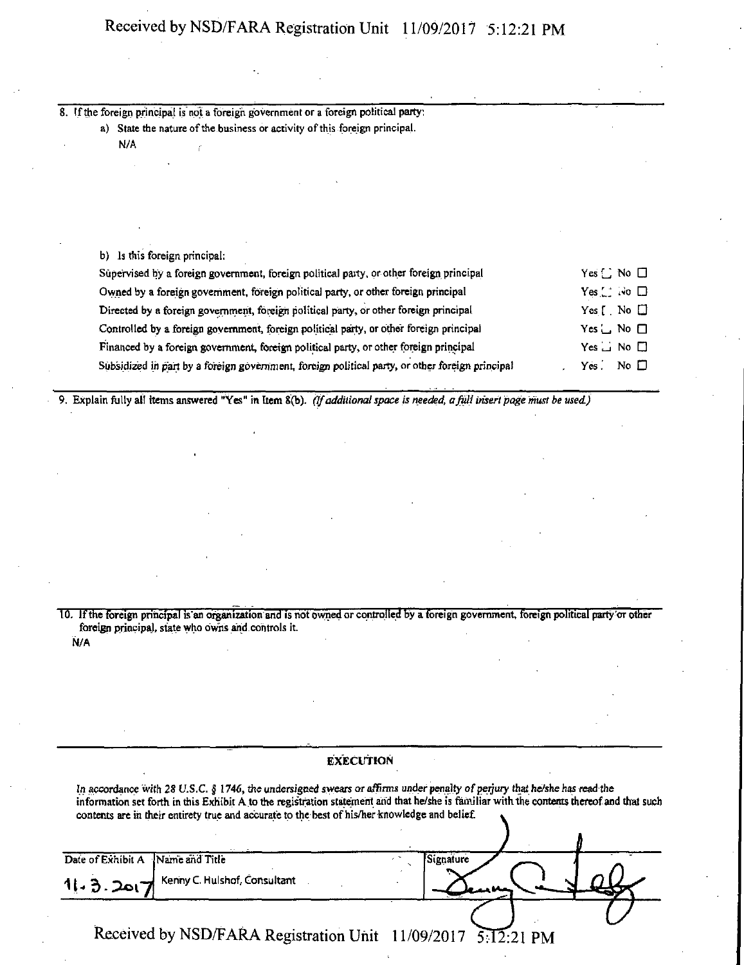# Received by NSD/FARA Registration Unit 11/09/2017 5:12:21 PM

8. If the foreign principal is not a foreign government or a foreign political party: a) State the nature of the business or activity of this foreign principal. N/A b) Is this foreign principal: Supervised by a foreign government, foreign political party, or other foreign principal  $Yes \cup No \Box$ Owned by a foreign government, foreign political party, or other foreign principal Yes  $\Box$  i-io  $\Box$ Directed by a foreign government, foreign political party, or other foreign principal Yes [ No  $\square$ Controlled by a foreign government, foreign political party, or other foreign principal Yes  $\Box$  No  $\Box$ Financed by a foreign government, foreign political party, or other foreign principal Yes  $\Box$  No  $\Box$ Subsidized in part by a foreign government, foreign political party, or other foreign principal  $Y$ es. No  $\square$ 

*9. Explain fully al! items answered "Yes" in Item 8(b)- (Ifadditional space is needed, a full insert page must be used)* 

10. If the foreign principal is an organization and is not owned or controlled by a foreign government, foreign political party or other foreign principal, state who owns and.controls it. N/A

|                                |                                                                                                                                                                                                                                                                                                                                                                        | <b>EXECUTION</b> |           |  |
|--------------------------------|------------------------------------------------------------------------------------------------------------------------------------------------------------------------------------------------------------------------------------------------------------------------------------------------------------------------------------------------------------------------|------------------|-----------|--|
|                                | In accordance with 28 U.S.C. § 1746, the undersigned swears or affirms under penalty of perjury that he/she has read the<br>information set forth in this Exhibit A to the registration statement and that he/she is familiar with the contents thereof and that such<br>contents are in their entirety true and accurate to the best of his/her knowledge and belief. |                  |           |  |
| Date of Exhibit A<br>11.3.2017 | Name and Title<br>Kenny C. Hulshof, Consultant                                                                                                                                                                                                                                                                                                                         |                  | Signature |  |
|                                | Received by NSD/FARA Registration Unit 11/09/2017 5:12:21 PM                                                                                                                                                                                                                                                                                                           |                  |           |  |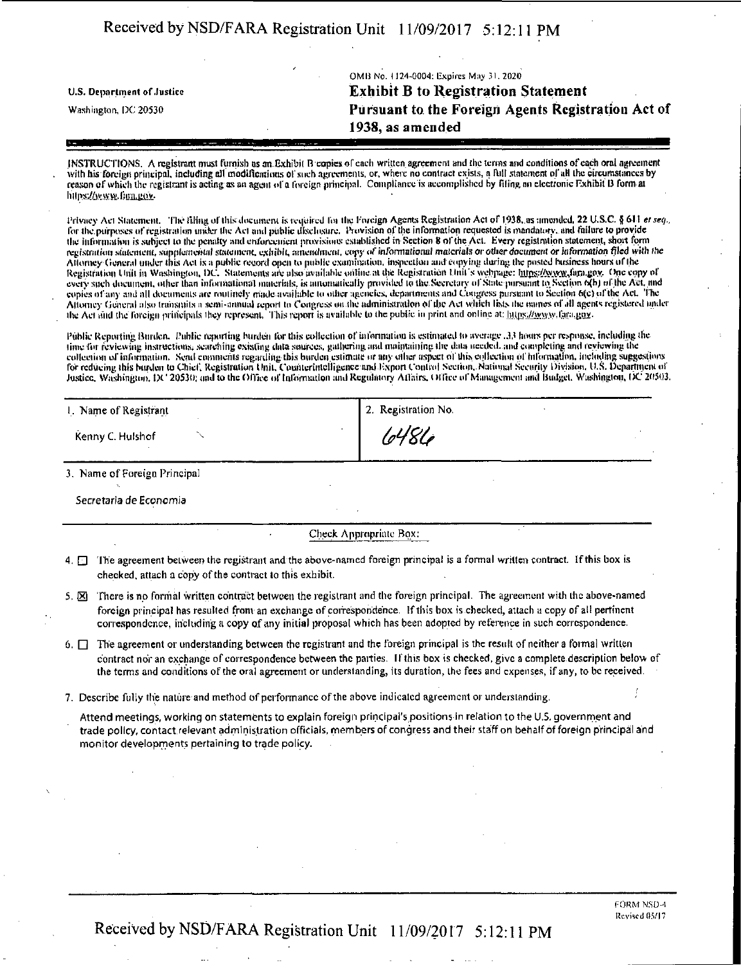# Received by NSD/FARA Registration Unit 11/09/2017 5:12:11 PM

OMB No. 1124-0004: Expires Mnw 31. 2020 **u.s. Department of .Justice Exhibit B to Registration Statement Washington, DC 20530 Pursuant to the Foreign Agents Registration Act of 1938, as amended** 

INSTRUCTIONS. A registrant must furnish as an Exhibit B copies of each written agreement and the terms and conditions of each oral agreement with his foreign principal, including all modifications of such agreements, or, where no contract exists, a full statement of all the circumstances by reason of which the registrant is acting as an agent of a foreign principal. Compliance is accomplished by filing an electronic Exhibit B form at hitles//www.firm.gov.

Privacy Act Statement. The filing of this document is required for the Foreign Agents Registration Act of 1938, as amended, 22 U.S.C. § 611 et seq., for the purposes of registration under the Act and public disclosure. Provision of the information requested is mandatory, and failure to provide the information is subject to Ihe penalty awl enforcement provisions established in Section 8 ofthe Act. Every registration statement, short form registration statement, supplemental statement, exhibit, amendment, copy of informational materials or other document or information filed with the Attorney General under this Act is a public record open to public examination, inspection and copying during the posted business hours of the Registration Unit in Washington, DC. Statements are also available online at the Registration Unit's wehpage: https://www.fara.gov. One copy of every such document, other than informational materials, is amomatically provided to the Secretary of State-pursuant to Section o(b) of the Act. and copies of any ami all documents arc routinely made available Ui oilier agencies, departments ami Congress pursuant to Section 6(c) of the Act. 'ITie Attorney General also transmits a semi-annual report tn Congress on the administration of the Act which lists the names of all agents registered under the Act and the foreign principals they represent. This report is available to the public in print and online at: https://www.fara.gov.

Public Reporting Burden. Public reporting burden for this collection of information is estimated to average .3.) hours per response, including the time for reviewing instructions, searching existing data sources, gathering and maintaining the data needed, and completing and reviewing the collection of information. Send comments regarding this burden estimate or any other aspect of lifs, collection of information, including suggestions for reducing this barden to Chief, Registration Unit, Counterintelligence and Export Coulied Section, National Security Division, U.S. Department of<br>Justice, Washington, DC 20530; and to the Office of Information and Regul

| 1. Name of Registrant | 2. Registration No. |
|-----------------------|---------------------|
| Kenny C. Hulshof      | 6486                |

3. Name of Foreign Principal

Secretaria de Economia

Check Appropriate Box:

- 4.  $\Box$  The agreement between the registrant and the above-named foreign principal is a formal written contract. If this box is checked, attach a copy of the contract to this exhibit.
- 5.  $\boxtimes$  There is no formal written contract between the registrant and the foreign principal. The agreement with the above-named foreign principal has resulted from an exchange of correspondence. If this box is checked, attach a copy of all pertinent correspondence, including a copy of any initial proposal which has been adopted by reference in such correspondence.
- $6. \Box$  The agreement or understanding between the registrant and the foreign principal is the result of neither a formal written contract nor an exchange of correspondence between the parties. If this box is checked, give a complete description below of the terms and conditions ofthe oral agreement or understanding, its duration, the fees and expenses, if any, to be received.
- 7. Describe fully the nature and method of performance of the above indicated agreement or understanding. '

Attend meetings, working on statements to explain foreign principal's positions in relation to the U.5. government and trade policy, contact relevant administration officials, members of congress and their staff on behalf of foreign principal and monitor developments pertaining to trade policy.

Received by NSD/FARA Registration Unit 11/09/2017 5:12:11 PM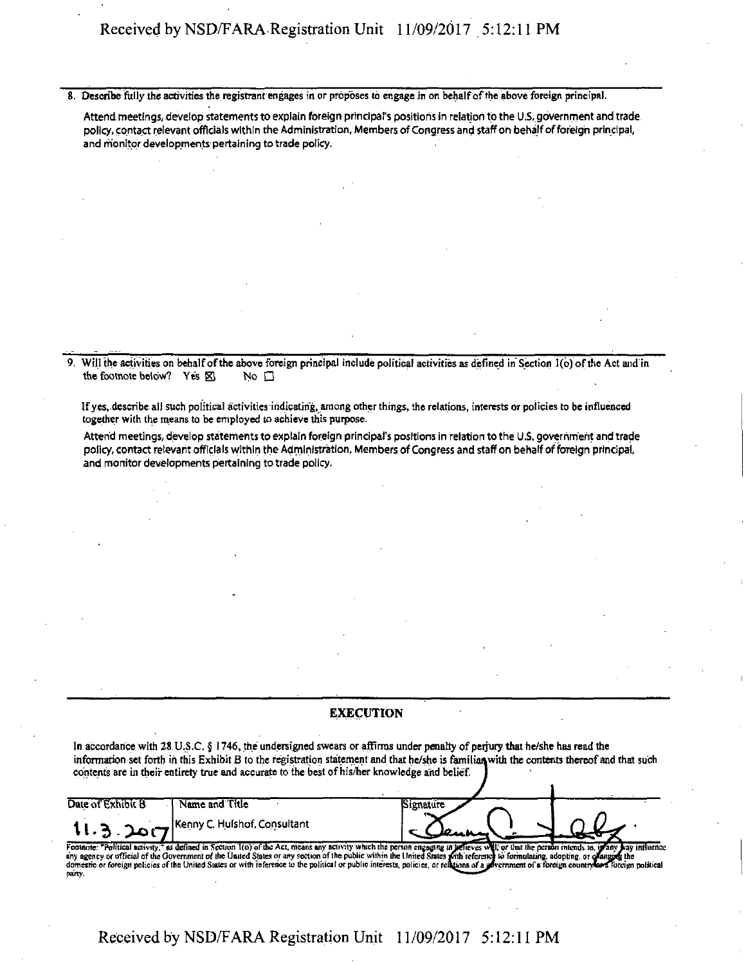8. Describe fully the activities the registrant engages in or proposes to engage in on behalf of the above foreign principal.

Attend meetings, develop statements to explain foreign principal's positions in relation to the U.S.,government and trade policy, contact relevant officials within the Administration, Members of Congress and staff on behalf of foreign principal, and monitor developments pertaining to trade policy.

9. Will the activities on behalf of the above foreign principal include political activities as defined in Section 1(b) ofthe Act and in the footnote below? Yes  $\boxtimes$  No  $\square$ 

If yes, describe all such political activities indicating, among other things, the relations, interests or policies to be influenced together with the means to be employed to achieve this purpose.

Attend meetings, develop statements to explain foreign principal's positions in relation to the U.S. government and trade policy, contact relevant officials within the Administration, Members of Congress and staff on behalf of foreign principal, and monitor developments pertaining to trade policy.

#### EXECUTION

In accordance with 28 U.S.C. § 1746, the undersigned swears or affirms under penalty of perjury that he/she has read the information set forth in this Exhibit B to the registration statement and that he/she is familian with the contents thereof and that such contents are in their entirety true and accurate to the best of his/her knowledge and belief.

 $\bullet$ 

| Date of Exhibit B | Name and Title                                                                                                                                                                                                                                                                                                                                                                                                                                                                                                                                                             | signature |  |
|-------------------|----------------------------------------------------------------------------------------------------------------------------------------------------------------------------------------------------------------------------------------------------------------------------------------------------------------------------------------------------------------------------------------------------------------------------------------------------------------------------------------------------------------------------------------------------------------------------|-----------|--|
|                   | 11. 3 . 20 CT Kenny C. Hulshof, Consultant                                                                                                                                                                                                                                                                                                                                                                                                                                                                                                                                 |           |  |
| party.            | Footnote: "Political activity," as defined in Section 1(0) of the Act, means any activity which the person engaging in selieves will, or that the person intends to, in any bay influence.<br>any agency or official of the Government of the United States or any section of the public within the United States with reference to formulating, adopting, or clusning the<br>domestic or foreign policies of the United States or with feference to the political or public interests, policies, or religions of a government of a foreign country or a loreign political |           |  |

Received by NSD/FARA Registration Unit 11 /09/2017 5:12:11 PM